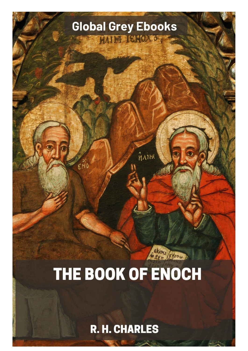

R. H. CHARLES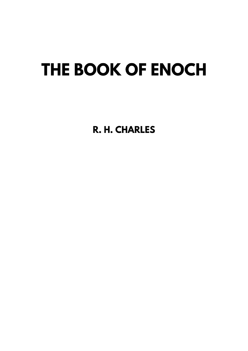## THE BOOK OF ENOCH

R. H. CHARLES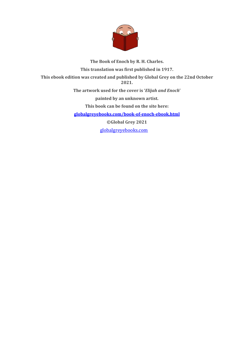

**The Book of Enoch by R. H. Charles. This translation was first published in 1917. This ebook edition was created and published by Global Grey on the 22nd October 2021. The artwork used for the cover is '***Elijah and Enoch***' painted by an unknown artist. This book can be found on the site here: [globalgreyebooks.com/book-of-enoch-ebook.html](https://www.globalgreyebooks.com/book-of-enoch-ebook.html) ©Global Grey 2021** [globalgreyebooks.com](https://www.globalgreyebooks.com/index.html)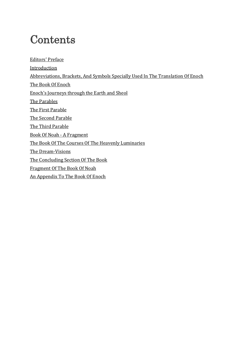## **Contents**

Editors[' Preface](#page-4-0) [Introduction](#page-5-0) [Abbreviations, Brackets, And Symbols Specially Used In The Translation Of Enoch](#page-17-0) [The Book Of Enoch](#page-18-0) Enoch['s Journeys through the Earth and Sheol](#page-26-0) [The Parables](#page-33-0) [The First Parable](#page-34-0) [The Second Parable](#page-38-0) [The Third Parable](#page-45-0) [Book Of Noah - A Fragment](#page-46-0) [The Book Of The Courses Of The Heavenly Luminaries](#page-57-0) [The Dream-Visions](#page-66-0) [The Concluding Section Of The Book](#page-75-0) [Fragment Of The Book Of Noah](#page-88-0) [An Appendix To The Book Of Enoch](#page-90-0)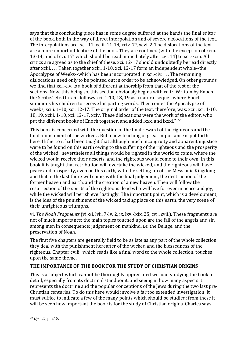says that this concluding piece has in some degree suffered at the hands the final editor of the book, both in the way of direct interpolation and of severe dislocations of the text. The interpolations are: xci. 11, xciii. 11-14, xciv. 7<sup>d</sup>, xcvi. 2. The dislocations of the text are a more important feature of the book. They are confined (with the exception of xciii. 13-14, and of cvi. 17a which should be read immediately after cvi. 14) to xci.-xciii. All critics are agreed as to the chief of these. xci. 12-17 should undoubtedly be read directly after xciii. . . . Taken together xciii. 1-10, xci. 12-17 form an independent whole--the Apocalypse of Weeks--which has been incorporated in xci.-civ. . . . The remaining dislocations need only to be pointed out in order to be acknowledged. On other grounds we find that xci.-civ. is a book of different authorship from that of the rest of the sections. Now, this being so, this section obviously begins with xcii.: 'Written by Enoch the Scribe.' etc. On xcii. follows xci. 1-10, 18, 19 as a natural sequel, where Enoch summons his children to receive his parting words. Then comes the Apocalypse of weeks, xciii. 1-10, xci. 12-17. The original order of the text, therefore, was: xcii. xci. 1-10, 18, 19, xciii. 1-10, xci. 12-17. xciv. These dislocations were the work of the editor, who put the different books of Enoch together, and added lxxx. and lxxxi." [22](#page-15-0)

This book is concerned with the question of the final reward of the righteous and the final punishment of the wicked. . But a new teaching of great importance is put forth here. Hitherto it had been taught that although much incongruity and apparent injustice were to be found on this earth owing to the suffering of the righteous and the prosperity of the wicked,. nevertheless all things would be righted in the world to come, where the wicked would receive their deserts, and the righteous would come to their own. In this book it is taught that retribution will overtake the wicked, and the righteous will have peace and prosperity, even on this earth, with the setting-up of the Messianic Kingdom; and that at the last there will come, with the final judgement, the destruction of the former heaven and earth, and the creation of a new heaven. Then will follow the resurrection of the spirits of the righteous dead who will live for ever in peace and joy, while the wicked will perish everlastingly. The important point, which is a development, is the idea of the punishment of the wicked taking place on this earth, the very scene of their unrighteous triumphs.

vi. *The Noah Fragments* (vi.-xi, lvii. 7-lv. 2, ix. lxv.-lxix. 25, cvi., cvii.). These fragments are not of much importance; the main topics touched upon are the fall of the angels and sin among men in consequence; judgement on mankind, *i.e.* the Deluge, and the preservation of Noah.

The first five chapters are generally field to be as late as any part of the whole collection; they deal with the punishment hereafter of the wicked and the blessedness of the righteous. Chapter cviii., which reads like a final word to the whole collection, touches upon the same theme.

## **THE IMPORTANCE OF THE BOOK FOR THE STUDY OF CHRISTIAN ORIGINS**

<span id="page-15-0"></span>This is a subject which cannot be thoroughly appreciated without studying the book in detail, especially from its doctrinal standpoint, and seeing in how many aspects it represents the doctrine and the popular conceptions of the Jews during the two last pre-Christian centuries. To do this here would involve a far too extended investigation; it must suffice to indicate a few of the many points which should be studied; from these it will be seen how important the book is for the study of Christian origins. Charles says